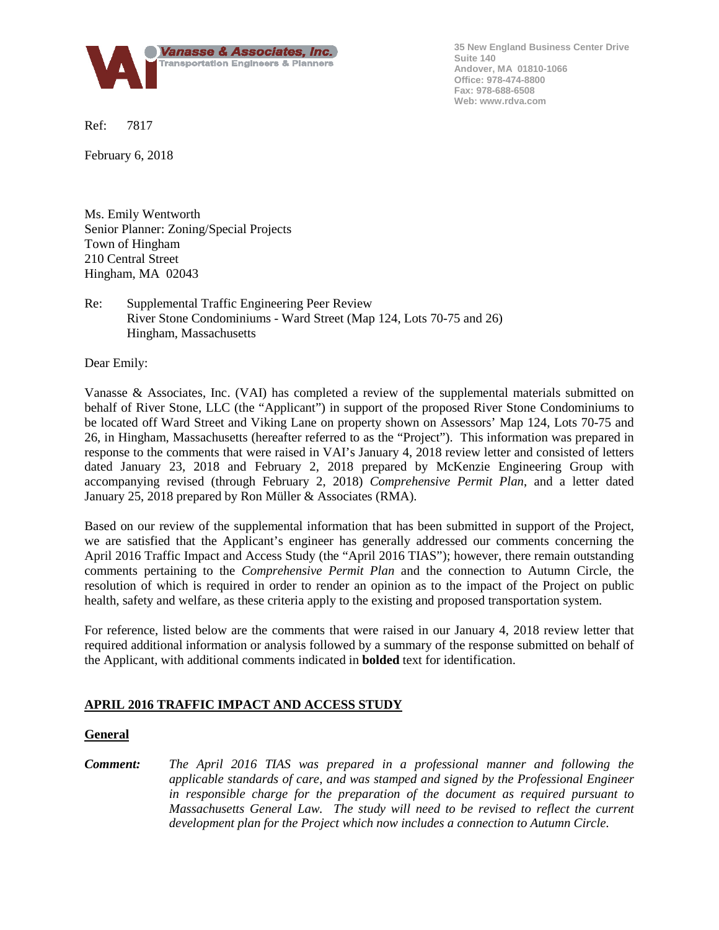

**35 New England Business Center Drive Suite 140 Andover, MA 01810-1066 Office: 978-474-8800 Fax: 978-688-6508 Web: www.rdva.com**

Ref: 7817

February 6, 2018

Ms. Emily Wentworth Senior Planner: Zoning/Special Projects Town of Hingham 210 Central Street Hingham, MA 02043

# Re: Supplemental Traffic Engineering Peer Review River Stone Condominiums - Ward Street (Map 124, Lots 70-75 and 26) Hingham, Massachusetts

Dear Emily:

Vanasse & Associates, Inc. (VAI) has completed a review of the supplemental materials submitted on behalf of River Stone, LLC (the "Applicant") in support of the proposed River Stone Condominiums to be located off Ward Street and Viking Lane on property shown on Assessors' Map 124, Lots 70-75 and 26, in Hingham, Massachusetts (hereafter referred to as the "Project"). This information was prepared in response to the comments that were raised in VAI's January 4, 2018 review letter and consisted of letters dated January 23, 2018 and February 2, 2018 prepared by McKenzie Engineering Group with accompanying revised (through February 2, 2018) *Comprehensive Permit Plan*, and a letter dated January 25, 2018 prepared by Ron Müller & Associates (RMA).

Based on our review of the supplemental information that has been submitted in support of the Project, we are satisfied that the Applicant's engineer has generally addressed our comments concerning the April 2016 Traffic Impact and Access Study (the "April 2016 TIAS"); however, there remain outstanding comments pertaining to the *Comprehensive Permit Plan* and the connection to Autumn Circle, the resolution of which is required in order to render an opinion as to the impact of the Project on public health, safety and welfare, as these criteria apply to the existing and proposed transportation system.

For reference, listed below are the comments that were raised in our January 4, 2018 review letter that required additional information or analysis followed by a summary of the response submitted on behalf of the Applicant, with additional comments indicated in **bolded** text for identification.

# **APRIL 2016 TRAFFIC IMPACT AND ACCESS STUDY**

#### **General**

*Comment: The April 2016 TIAS was prepared in a professional manner and following the applicable standards of care, and was stamped and signed by the Professional Engineer in responsible charge for the preparation of the document as required pursuant to Massachusetts General Law. The study will need to be revised to reflect the current development plan for the Project which now includes a connection to Autumn Circle.*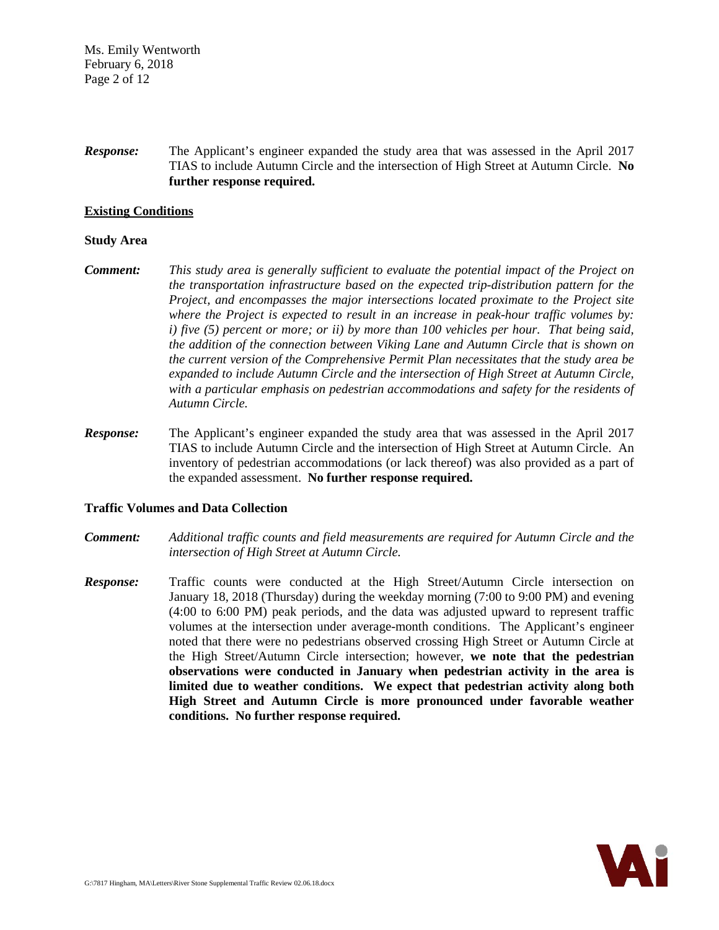Ms. Emily Wentworth February 6, 2018 Page 2 of 12

*Response:* The Applicant's engineer expanded the study area that was assessed in the April 2017 TIAS to include Autumn Circle and the intersection of High Street at Autumn Circle. **No further response required.**

#### **Existing Conditions**

### **Study Area**

- *Comment: This study area is generally sufficient to evaluate the potential impact of the Project on the transportation infrastructure based on the expected trip-distribution pattern for the Project, and encompasses the major intersections located proximate to the Project site where the Project is expected to result in an increase in peak-hour traffic volumes by: i) five (5) percent or more; or ii) by more than 100 vehicles per hour. That being said, the addition of the connection between Viking Lane and Autumn Circle that is shown on the current version of the Comprehensive Permit Plan necessitates that the study area be expanded to include Autumn Circle and the intersection of High Street at Autumn Circle, with a particular emphasis on pedestrian accommodations and safety for the residents of Autumn Circle.*
- *Response:* The Applicant's engineer expanded the study area that was assessed in the April 2017 TIAS to include Autumn Circle and the intersection of High Street at Autumn Circle. An inventory of pedestrian accommodations (or lack thereof) was also provided as a part of the expanded assessment. **No further response required.**

#### **Traffic Volumes and Data Collection**

- *Comment: Additional traffic counts and field measurements are required for Autumn Circle and the intersection of High Street at Autumn Circle.*
- *Response:* Traffic counts were conducted at the High Street/Autumn Circle intersection on January 18, 2018 (Thursday) during the weekday morning (7:00 to 9:00 PM) and evening (4:00 to 6:00 PM) peak periods, and the data was adjusted upward to represent traffic volumes at the intersection under average-month conditions. The Applicant's engineer noted that there were no pedestrians observed crossing High Street or Autumn Circle at the High Street/Autumn Circle intersection; however, **we note that the pedestrian observations were conducted in January when pedestrian activity in the area is limited due to weather conditions. We expect that pedestrian activity along both High Street and Autumn Circle is more pronounced under favorable weather conditions. No further response required.**

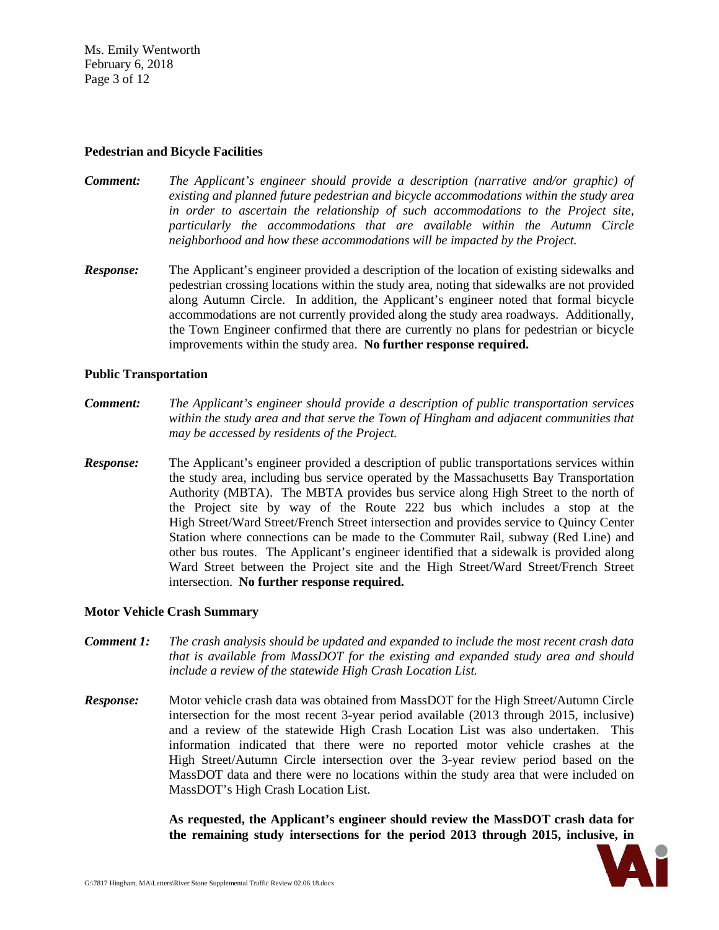Ms. Emily Wentworth February 6, 2018 Page 3 of 12

#### **Pedestrian and Bicycle Facilities**

- *Comment: The Applicant's engineer should provide a description (narrative and/or graphic) of existing and planned future pedestrian and bicycle accommodations within the study area in order to ascertain the relationship of such accommodations to the Project site, particularly the accommodations that are available within the Autumn Circle neighborhood and how these accommodations will be impacted by the Project.*
- *Response:* The Applicant's engineer provided a description of the location of existing sidewalks and pedestrian crossing locations within the study area, noting that sidewalks are not provided along Autumn Circle. In addition, the Applicant's engineer noted that formal bicycle accommodations are not currently provided along the study area roadways. Additionally, the Town Engineer confirmed that there are currently no plans for pedestrian or bicycle improvements within the study area. **No further response required.**

# **Public Transportation**

- *Comment: The Applicant's engineer should provide a description of public transportation services within the study area and that serve the Town of Hingham and adjacent communities that may be accessed by residents of the Project.*
- *Response:* The Applicant's engineer provided a description of public transportations services within the study area, including bus service operated by the Massachusetts Bay Transportation Authority (MBTA). The MBTA provides bus service along High Street to the north of the Project site by way of the Route 222 bus which includes a stop at the High Street/Ward Street/French Street intersection and provides service to Quincy Center Station where connections can be made to the Commuter Rail, subway (Red Line) and other bus routes. The Applicant's engineer identified that a sidewalk is provided along Ward Street between the Project site and the High Street/Ward Street/French Street intersection. **No further response required.**

#### **Motor Vehicle Crash Summary**

- *Comment 1: The crash analysis should be updated and expanded to include the most recent crash data that is available from MassDOT for the existing and expanded study area and should include a review of the statewide High Crash Location List.*
- *Response:* Motor vehicle crash data was obtained from MassDOT for the High Street/Autumn Circle intersection for the most recent 3-year period available (2013 through 2015, inclusive) and a review of the statewide High Crash Location List was also undertaken. This information indicated that there were no reported motor vehicle crashes at the High Street/Autumn Circle intersection over the 3-year review period based on the MassDOT data and there were no locations within the study area that were included on MassDOT's High Crash Location List.

**As requested, the Applicant's engineer should review the MassDOT crash data for the remaining study intersections for the period 2013 through 2015, inclusive, in** 

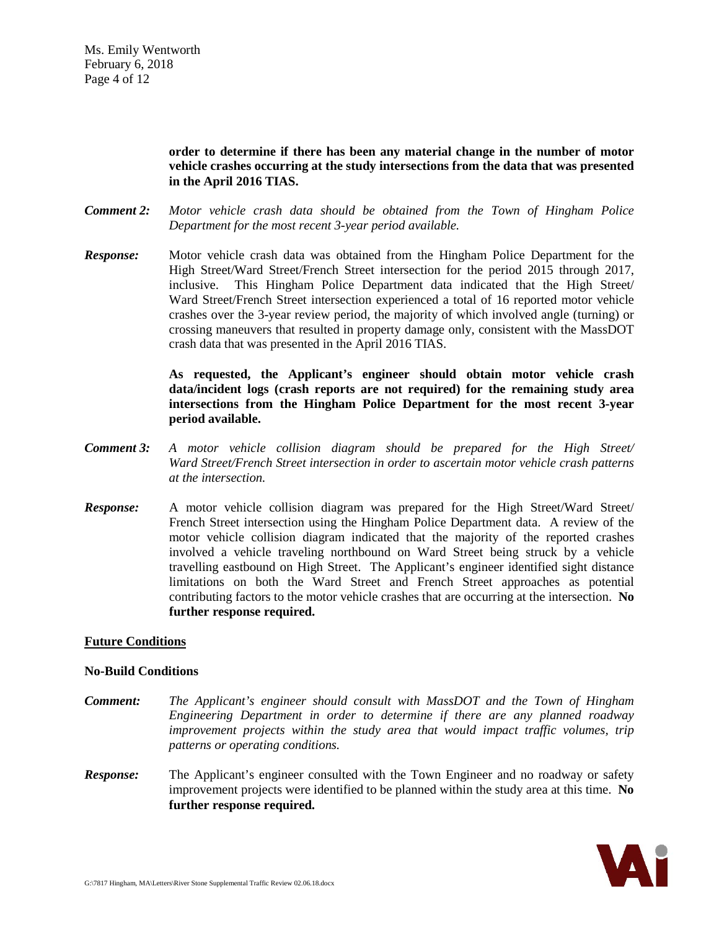**order to determine if there has been any material change in the number of motor vehicle crashes occurring at the study intersections from the data that was presented in the April 2016 TIAS.**

- *Comment 2: Motor vehicle crash data should be obtained from the Town of Hingham Police Department for the most recent 3-year period available.*
- *Response:* Motor vehicle crash data was obtained from the Hingham Police Department for the High Street/Ward Street/French Street intersection for the period 2015 through 2017, inclusive. This Hingham Police Department data indicated that the High Street/ Ward Street/French Street intersection experienced a total of 16 reported motor vehicle crashes over the 3-year review period, the majority of which involved angle (turning) or crossing maneuvers that resulted in property damage only, consistent with the MassDOT crash data that was presented in the April 2016 TIAS.

**As requested, the Applicant's engineer should obtain motor vehicle crash data/incident logs (crash reports are not required) for the remaining study area intersections from the Hingham Police Department for the most recent 3-year period available.**

- *Comment 3: A motor vehicle collision diagram should be prepared for the High Street/ Ward Street/French Street intersection in order to ascertain motor vehicle crash patterns at the intersection.*
- *Response:* A motor vehicle collision diagram was prepared for the High Street/Ward Street/ French Street intersection using the Hingham Police Department data. A review of the motor vehicle collision diagram indicated that the majority of the reported crashes involved a vehicle traveling northbound on Ward Street being struck by a vehicle travelling eastbound on High Street. The Applicant's engineer identified sight distance limitations on both the Ward Street and French Street approaches as potential contributing factors to the motor vehicle crashes that are occurring at the intersection. **No further response required.**

# **Future Conditions**

#### **No-Build Conditions**

- *Comment: The Applicant's engineer should consult with MassDOT and the Town of Hingham Engineering Department in order to determine if there are any planned roadway improvement projects within the study area that would impact traffic volumes, trip patterns or operating conditions.*
- **Response:** The Applicant's engineer consulted with the Town Engineer and no roadway or safety improvement projects were identified to be planned within the study area at this time. **No further response required.**

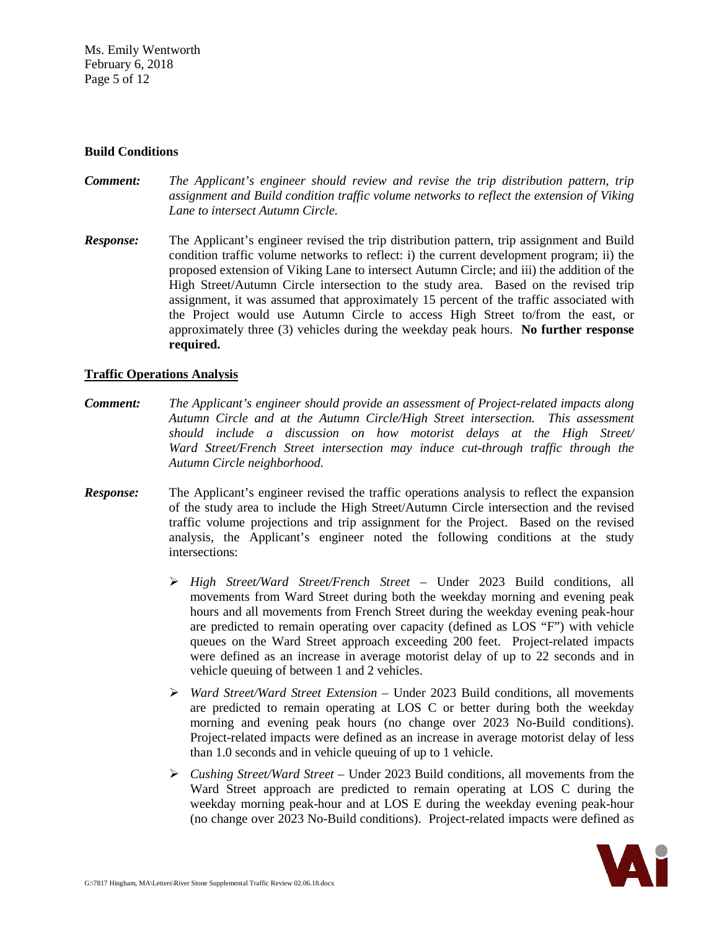Ms. Emily Wentworth February 6, 2018 Page 5 of 12

### **Build Conditions**

- *Comment: The Applicant's engineer should review and revise the trip distribution pattern, trip assignment and Build condition traffic volume networks to reflect the extension of Viking Lane to intersect Autumn Circle.*
- *Response:* The Applicant's engineer revised the trip distribution pattern, trip assignment and Build condition traffic volume networks to reflect: i) the current development program; ii) the proposed extension of Viking Lane to intersect Autumn Circle; and iii) the addition of the High Street/Autumn Circle intersection to the study area. Based on the revised trip assignment, it was assumed that approximately 15 percent of the traffic associated with the Project would use Autumn Circle to access High Street to/from the east, or approximately three (3) vehicles during the weekday peak hours. **No further response required.**

# **Traffic Operations Analysis**

- *Comment: The Applicant's engineer should provide an assessment of Project-related impacts along Autumn Circle and at the Autumn Circle/High Street intersection. This assessment should include a discussion on how motorist delays at the High Street/ Ward Street/French Street intersection may induce cut-through traffic through the Autumn Circle neighborhood.*
- *Response:* The Applicant's engineer revised the traffic operations analysis to reflect the expansion of the study area to include the High Street/Autumn Circle intersection and the revised traffic volume projections and trip assignment for the Project. Based on the revised analysis, the Applicant's engineer noted the following conditions at the study intersections:
	- *High Street/Ward Street/French Street* Under 2023 Build conditions, all movements from Ward Street during both the weekday morning and evening peak hours and all movements from French Street during the weekday evening peak-hour are predicted to remain operating over capacity (defined as LOS "F") with vehicle queues on the Ward Street approach exceeding 200 feet. Project-related impacts were defined as an increase in average motorist delay of up to 22 seconds and in vehicle queuing of between 1 and 2 vehicles.
	- *Ward Street/Ward Street Extension* Under 2023 Build conditions, all movements are predicted to remain operating at LOS C or better during both the weekday morning and evening peak hours (no change over 2023 No-Build conditions). Project-related impacts were defined as an increase in average motorist delay of less than 1.0 seconds and in vehicle queuing of up to 1 vehicle.
	- *Cushing Street/Ward Street* Under 2023 Build conditions, all movements from the Ward Street approach are predicted to remain operating at LOS C during the weekday morning peak-hour and at LOS E during the weekday evening peak-hour (no change over 2023 No-Build conditions). Project-related impacts were defined as

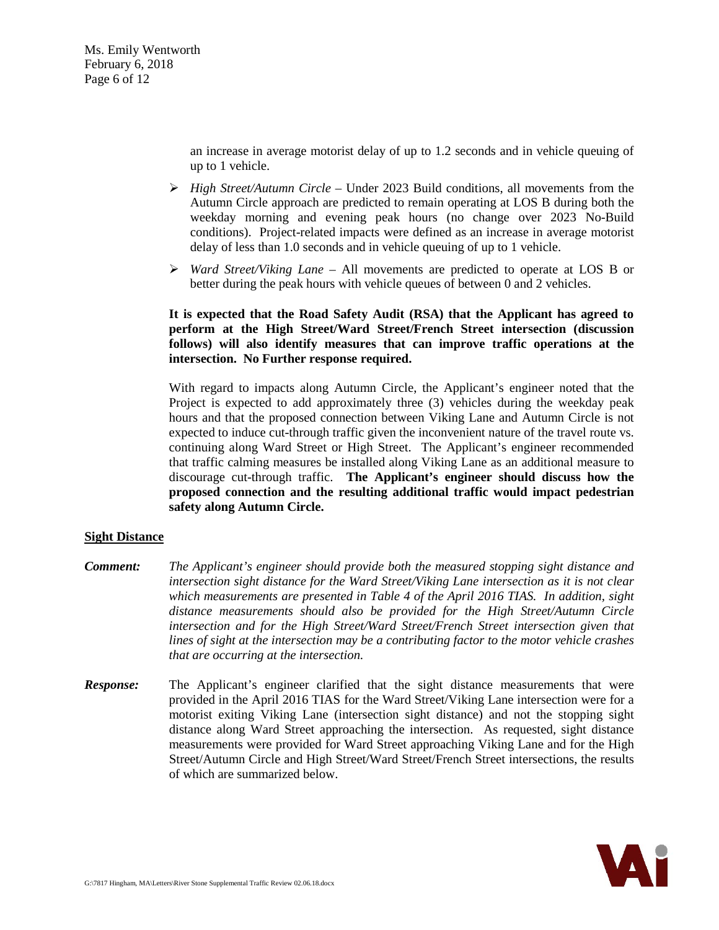Ms. Emily Wentworth February 6, 2018 Page 6 of 12

> an increase in average motorist delay of up to 1.2 seconds and in vehicle queuing of up to 1 vehicle.

- *High Street/Autumn Circle* Under 2023 Build conditions, all movements from the Autumn Circle approach are predicted to remain operating at LOS B during both the weekday morning and evening peak hours (no change over 2023 No-Build conditions). Project-related impacts were defined as an increase in average motorist delay of less than 1.0 seconds and in vehicle queuing of up to 1 vehicle.
- *Ward Street/Viking Lane* All movements are predicted to operate at LOS B or better during the peak hours with vehicle queues of between 0 and 2 vehicles.

# **It is expected that the Road Safety Audit (RSA) that the Applicant has agreed to perform at the High Street/Ward Street/French Street intersection (discussion follows) will also identify measures that can improve traffic operations at the intersection. No Further response required.**

With regard to impacts along Autumn Circle, the Applicant's engineer noted that the Project is expected to add approximately three (3) vehicles during the weekday peak hours and that the proposed connection between Viking Lane and Autumn Circle is not expected to induce cut-through traffic given the inconvenient nature of the travel route vs. continuing along Ward Street or High Street. The Applicant's engineer recommended that traffic calming measures be installed along Viking Lane as an additional measure to discourage cut-through traffic. **The Applicant's engineer should discuss how the proposed connection and the resulting additional traffic would impact pedestrian safety along Autumn Circle.**

# **Sight Distance**

- *Comment: The Applicant's engineer should provide both the measured stopping sight distance and intersection sight distance for the Ward Street/Viking Lane intersection as it is not clear which measurements are presented in Table 4 of the April 2016 TIAS. In addition, sight distance measurements should also be provided for the High Street/Autumn Circle intersection and for the High Street/Ward Street/French Street intersection given that lines of sight at the intersection may be a contributing factor to the motor vehicle crashes that are occurring at the intersection.*
- **Response:** The Applicant's engineer clarified that the sight distance measurements that were provided in the April 2016 TIAS for the Ward Street/Viking Lane intersection were for a motorist exiting Viking Lane (intersection sight distance) and not the stopping sight distance along Ward Street approaching the intersection. As requested, sight distance measurements were provided for Ward Street approaching Viking Lane and for the High Street/Autumn Circle and High Street/Ward Street/French Street intersections, the results of which are summarized below.

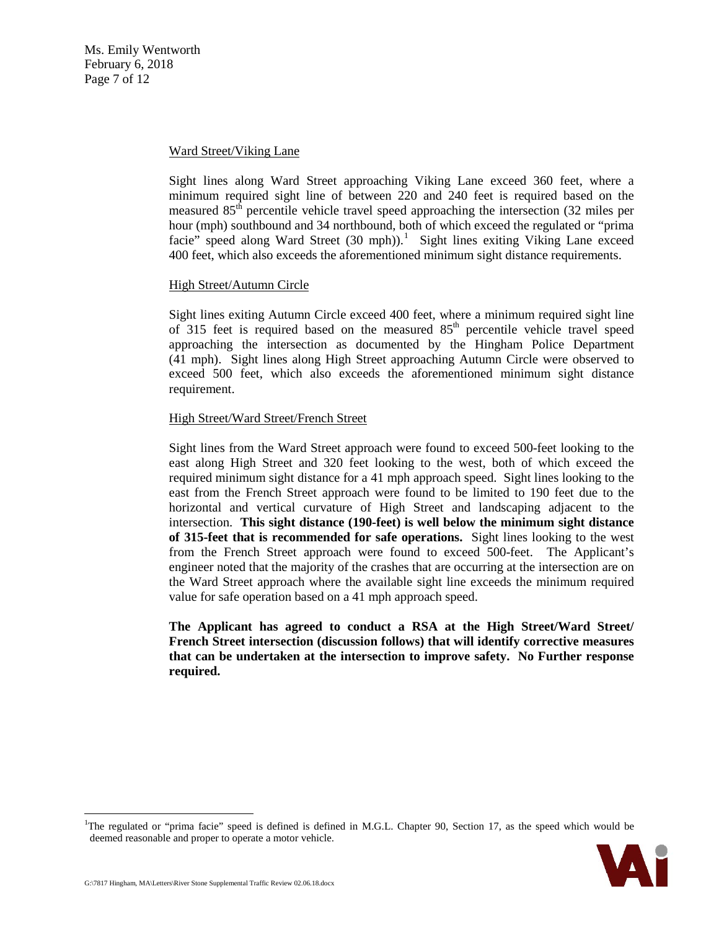Ms. Emily Wentworth February 6, 2018 Page 7 of 12

#### Ward Street/Viking Lane

Sight lines along Ward Street approaching Viking Lane exceed 360 feet, where a minimum required sight line of between 220 and 240 feet is required based on the measured  $85<sup>th</sup>$  percentile vehicle travel speed approaching the intersection (32 miles per hour (mph) southbound and 34 northbound, both of which exceed the regulated or "prima facie" speed along Ward Street (30 mph)).<sup>[1](#page-6-0)</sup> Sight lines exiting Viking Lane exceed 400 feet, which also exceeds the aforementioned minimum sight distance requirements.

# High Street/Autumn Circle

Sight lines exiting Autumn Circle exceed 400 feet, where a minimum required sight line of 315 feet is required based on the measured  $85<sup>th</sup>$  percentile vehicle travel speed approaching the intersection as documented by the Hingham Police Department (41 mph). Sight lines along High Street approaching Autumn Circle were observed to exceed 500 feet, which also exceeds the aforementioned minimum sight distance requirement.

# High Street/Ward Street/French Street

Sight lines from the Ward Street approach were found to exceed 500-feet looking to the east along High Street and 320 feet looking to the west, both of which exceed the required minimum sight distance for a 41 mph approach speed. Sight lines looking to the east from the French Street approach were found to be limited to 190 feet due to the horizontal and vertical curvature of High Street and landscaping adjacent to the intersection. **This sight distance (190-feet) is well below the minimum sight distance of 315-feet that is recommended for safe operations.** Sight lines looking to the west from the French Street approach were found to exceed 500-feet. The Applicant's engineer noted that the majority of the crashes that are occurring at the intersection are on the Ward Street approach where the available sight line exceeds the minimum required value for safe operation based on a 41 mph approach speed.

**The Applicant has agreed to conduct a RSA at the High Street/Ward Street/ French Street intersection (discussion follows) that will identify corrective measures that can be undertaken at the intersection to improve safety. No Further response required.**

<span id="page-6-0"></span><sup>|&</sup>lt;br>|<br>| <sup>1</sup>The regulated or "prima facie" speed is defined is defined in M.G.L. Chapter 90, Section 17, as the speed which would be deemed reasonable and proper to operate a motor vehicle.

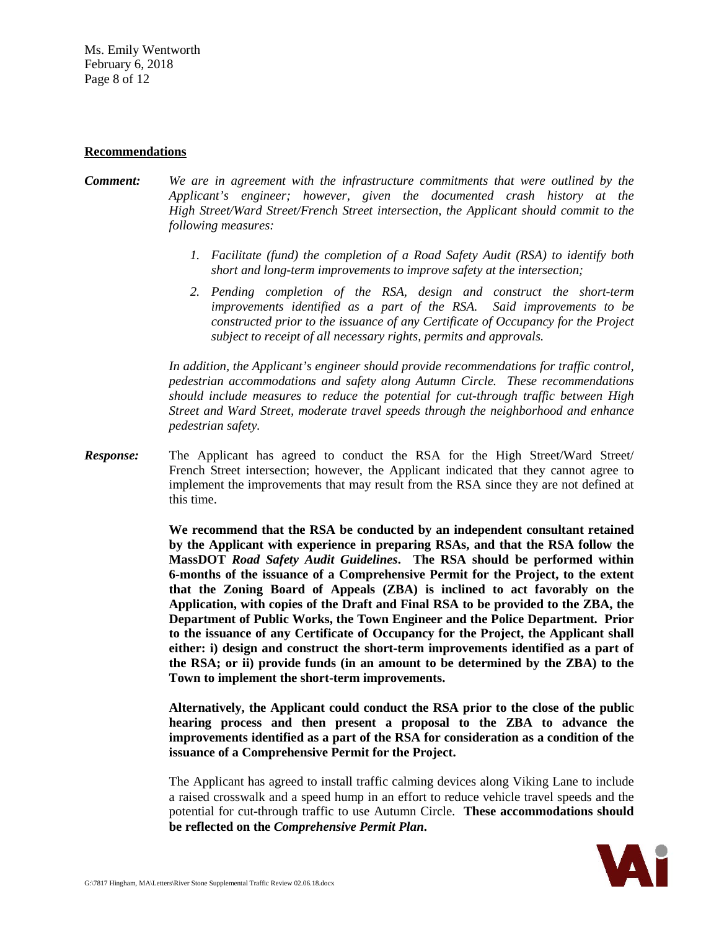Ms. Emily Wentworth February 6, 2018 Page 8 of 12

#### **Recommendations**

- *Comment: We are in agreement with the infrastructure commitments that were outlined by the Applicant's engineer; however, given the documented crash history at the High Street/Ward Street/French Street intersection, the Applicant should commit to the following measures:*
	- *1. Facilitate (fund) the completion of a Road Safety Audit (RSA) to identify both short and long-term improvements to improve safety at the intersection;*
	- *2. Pending completion of the RSA, design and construct the short-term improvements identified as a part of the RSA. Said improvements to be constructed prior to the issuance of any Certificate of Occupancy for the Project subject to receipt of all necessary rights, permits and approvals.*

*In addition, the Applicant's engineer should provide recommendations for traffic control, pedestrian accommodations and safety along Autumn Circle. These recommendations should include measures to reduce the potential for cut-through traffic between High Street and Ward Street, moderate travel speeds through the neighborhood and enhance pedestrian safety.*

*Response:* The Applicant has agreed to conduct the RSA for the High Street/Ward Street/ French Street intersection; however, the Applicant indicated that they cannot agree to implement the improvements that may result from the RSA since they are not defined at this time.

> **We recommend that the RSA be conducted by an independent consultant retained by the Applicant with experience in preparing RSAs, and that the RSA follow the MassDOT** *Road Safety Audit Guidelines***. The RSA should be performed within 6-months of the issuance of a Comprehensive Permit for the Project, to the extent that the Zoning Board of Appeals (ZBA) is inclined to act favorably on the Application, with copies of the Draft and Final RSA to be provided to the ZBA, the Department of Public Works, the Town Engineer and the Police Department. Prior to the issuance of any Certificate of Occupancy for the Project, the Applicant shall either: i) design and construct the short-term improvements identified as a part of the RSA; or ii) provide funds (in an amount to be determined by the ZBA) to the Town to implement the short-term improvements.**

> **Alternatively, the Applicant could conduct the RSA prior to the close of the public hearing process and then present a proposal to the ZBA to advance the improvements identified as a part of the RSA for consideration as a condition of the issuance of a Comprehensive Permit for the Project.**

> The Applicant has agreed to install traffic calming devices along Viking Lane to include a raised crosswalk and a speed hump in an effort to reduce vehicle travel speeds and the potential for cut-through traffic to use Autumn Circle. **These accommodations should be reflected on the** *Comprehensive Permit Plan***.**

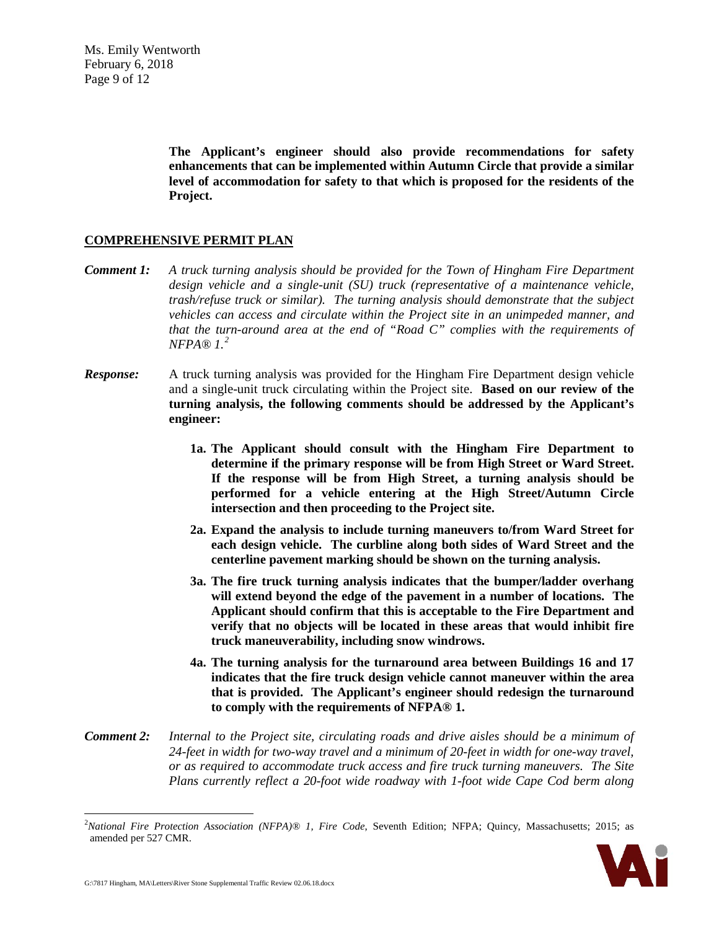Ms. Emily Wentworth February 6, 2018 Page 9 of 12

> **The Applicant's engineer should also provide recommendations for safety enhancements that can be implemented within Autumn Circle that provide a similar level of accommodation for safety to that which is proposed for the residents of the Project.**

### **COMPREHENSIVE PERMIT PLAN**

- *Comment 1: A truck turning analysis should be provided for the Town of Hingham Fire Department design vehicle and a single-unit (SU) truck (representative of a maintenance vehicle, trash/refuse truck or similar). The turning analysis should demonstrate that the subject vehicles can access and circulate within the Project site in an unimpeded manner, and that the turn-around area at the end of "Road C" complies with the requirements of NFPA® 1.[2](#page-8-0)*
- *Response:* A truck turning analysis was provided for the Hingham Fire Department design vehicle and a single-unit truck circulating within the Project site. **Based on our review of the turning analysis, the following comments should be addressed by the Applicant's engineer:**
	- **1a. The Applicant should consult with the Hingham Fire Department to determine if the primary response will be from High Street or Ward Street. If the response will be from High Street, a turning analysis should be performed for a vehicle entering at the High Street/Autumn Circle intersection and then proceeding to the Project site.**
	- **2a. Expand the analysis to include turning maneuvers to/from Ward Street for each design vehicle. The curbline along both sides of Ward Street and the centerline pavement marking should be shown on the turning analysis.**
	- **3a. The fire truck turning analysis indicates that the bumper/ladder overhang will extend beyond the edge of the pavement in a number of locations. The Applicant should confirm that this is acceptable to the Fire Department and verify that no objects will be located in these areas that would inhibit fire truck maneuverability, including snow windrows.**
	- **4a. The turning analysis for the turnaround area between Buildings 16 and 17 indicates that the fire truck design vehicle cannot maneuver within the area that is provided. The Applicant's engineer should redesign the turnaround to comply with the requirements of NFPA® 1.**
- *Comment 2: Internal to the Project site, circulating roads and drive aisles should be a minimum of 24-feet in width for two-way travel and a minimum of 20-feet in width for one-way travel, or as required to accommodate truck access and fire truck turning maneuvers. The Site Plans currently reflect a 20-foot wide roadway with 1-foot wide Cape Cod berm along*

<span id="page-8-0"></span> $\frac{1}{2}$ *National Fire Protection Association (NFPA)® 1, Fire Code*, Seventh Edition; NFPA; Quincy, Massachusetts; 2015; as amended per 527 CMR.

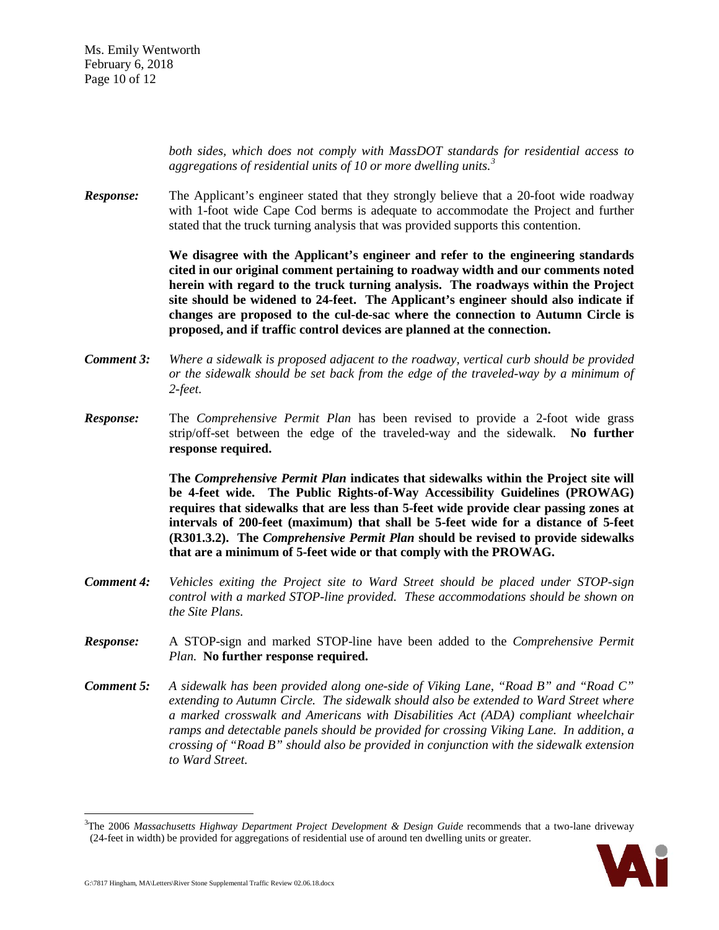Ms. Emily Wentworth February 6, 2018 Page 10 of 12

> *both sides, which does not comply with MassDOT standards for residential access to aggregations of residential units of 10 or more dwelling units.[3](#page-9-0)*

**Response:** The Applicant's engineer stated that they strongly believe that a 20-foot wide roadway with 1-foot wide Cape Cod berms is adequate to accommodate the Project and further stated that the truck turning analysis that was provided supports this contention.

> **We disagree with the Applicant's engineer and refer to the engineering standards cited in our original comment pertaining to roadway width and our comments noted herein with regard to the truck turning analysis. The roadways within the Project site should be widened to 24-feet. The Applicant's engineer should also indicate if changes are proposed to the cul-de-sac where the connection to Autumn Circle is proposed, and if traffic control devices are planned at the connection.**

- *Comment 3: Where a sidewalk is proposed adjacent to the roadway, vertical curb should be provided or the sidewalk should be set back from the edge of the traveled-way by a minimum of 2-feet.*
- *Response:* The *Comprehensive Permit Plan* has been revised to provide a 2-foot wide grass strip/off-set between the edge of the traveled-way and the sidewalk. **No further response required.**

**The** *Comprehensive Permit Plan* **indicates that sidewalks within the Project site will be 4-feet wide. The Public Rights-of-Way Accessibility Guidelines (PROWAG) requires that sidewalks that are less than 5-feet wide provide clear passing zones at intervals of 200-feet (maximum) that shall be 5-feet wide for a distance of 5-feet (R301.3.2). The** *Comprehensive Permit Plan* **should be revised to provide sidewalks that are a minimum of 5-feet wide or that comply with the PROWAG.**

- *Comment 4: Vehicles exiting the Project site to Ward Street should be placed under STOP-sign control with a marked STOP-line provided. These accommodations should be shown on the Site Plans.*
- *Response:* A STOP-sign and marked STOP-line have been added to the *Comprehensive Permit Plan.* **No further response required.**
- *Comment 5: A sidewalk has been provided along one-side of Viking Lane, "Road B" and "Road C" extending to Autumn Circle. The sidewalk should also be extended to Ward Street where a marked crosswalk and Americans with Disabilities Act (ADA) compliant wheelchair ramps and detectable panels should be provided for crossing Viking Lane. In addition, a crossing of "Road B" should also be provided in conjunction with the sidewalk extension to Ward Street.*

<span id="page-9-0"></span><sup>&</sup>lt;sup>2</sup><br>3 <sup>3</sup>The 2006 *Massachusetts Highway Department Project Development & Design Guide* recommends that a two-lane driveway (24-feet in width) be provided for aggregations of residential use of around ten dwelling units or greater.

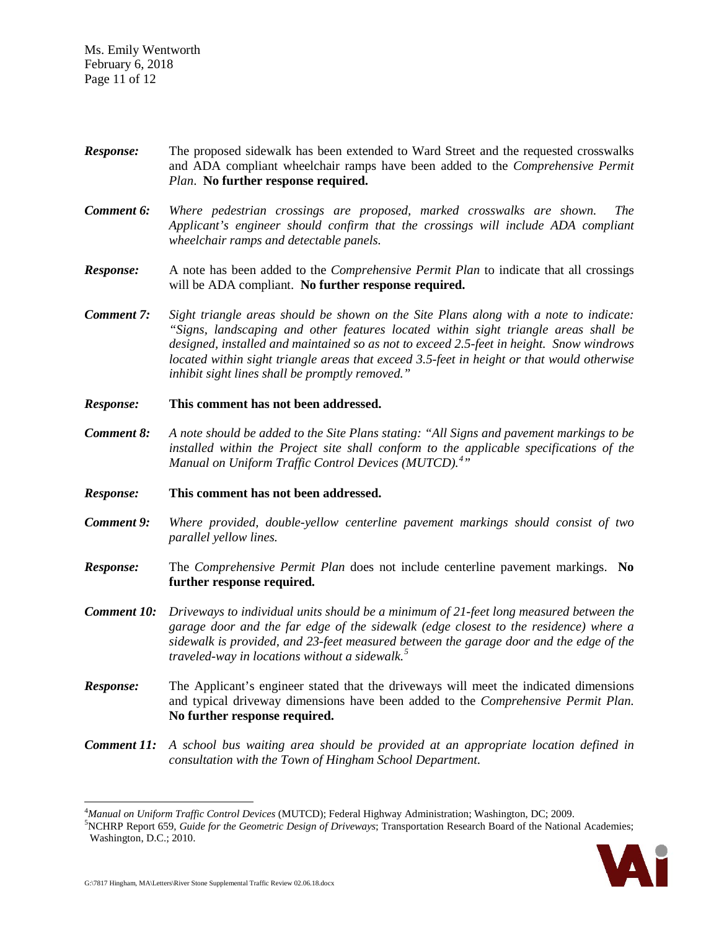Ms. Emily Wentworth February 6, 2018 Page 11 of 12

- *Response:* The proposed sidewalk has been extended to Ward Street and the requested crosswalks and ADA compliant wheelchair ramps have been added to the *Comprehensive Permit Plan*. **No further response required.**
- *Comment 6: Where pedestrian crossings are proposed, marked crosswalks are shown. The Applicant's engineer should confirm that the crossings will include ADA compliant wheelchair ramps and detectable panels.*
- *Response:* A note has been added to the *Comprehensive Permit Plan* to indicate that all crossings will be ADA compliant. **No further response required.**
- *Comment 7: Sight triangle areas should be shown on the Site Plans along with a note to indicate: "Signs, landscaping and other features located within sight triangle areas shall be designed, installed and maintained so as not to exceed 2.5-feet in height. Snow windrows located within sight triangle areas that exceed 3.5-feet in height or that would otherwise inhibit sight lines shall be promptly removed."*
- *Response:* **This comment has not been addressed.**
- *Comment 8: A note should be added to the Site Plans stating: "All Signs and pavement markings to be installed within the Project site shall conform to the applicable specifications of the Manual on Uniform Traffic Control Devices (MUTCD).[4](#page-10-0) "*
- *Response:* **This comment has not been addressed.**
- *Comment 9: Where provided, double-yellow centerline pavement markings should consist of two parallel yellow lines.*
- *Response:* The *Comprehensive Permit Plan* does not include centerline pavement markings. **No further response required.**
- *Comment 10: Driveways to individual units should be a minimum of 21-feet long measured between the garage door and the far edge of the sidewalk (edge closest to the residence) where a sidewalk is provided, and 23-feet measured between the garage door and the edge of the traveled-way in locations without a sidewalk.[5](#page-10-1)*
- *Response:* The Applicant's engineer stated that the driveways will meet the indicated dimensions and typical driveway dimensions have been added to the *Comprehensive Permit Plan*. **No further response required.**
- *Comment 11: A school bus waiting area should be provided at an appropriate location defined in consultation with the Town of Hingham School Department.*

<span id="page-10-1"></span><span id="page-10-0"></span><sup>&</sup>lt;sup>5</sup>NCHRP Report 659, *Guide for the Geometric Design of Driveways*; Transportation Research Board of the National Academies; Washington, D.C.; 2010.



 <sup>4</sup> *Manual on Uniform Traffic Control Devices* (MUTCD); Federal Highway Administration; Washington, DC; 2009. <sup>5</sup>